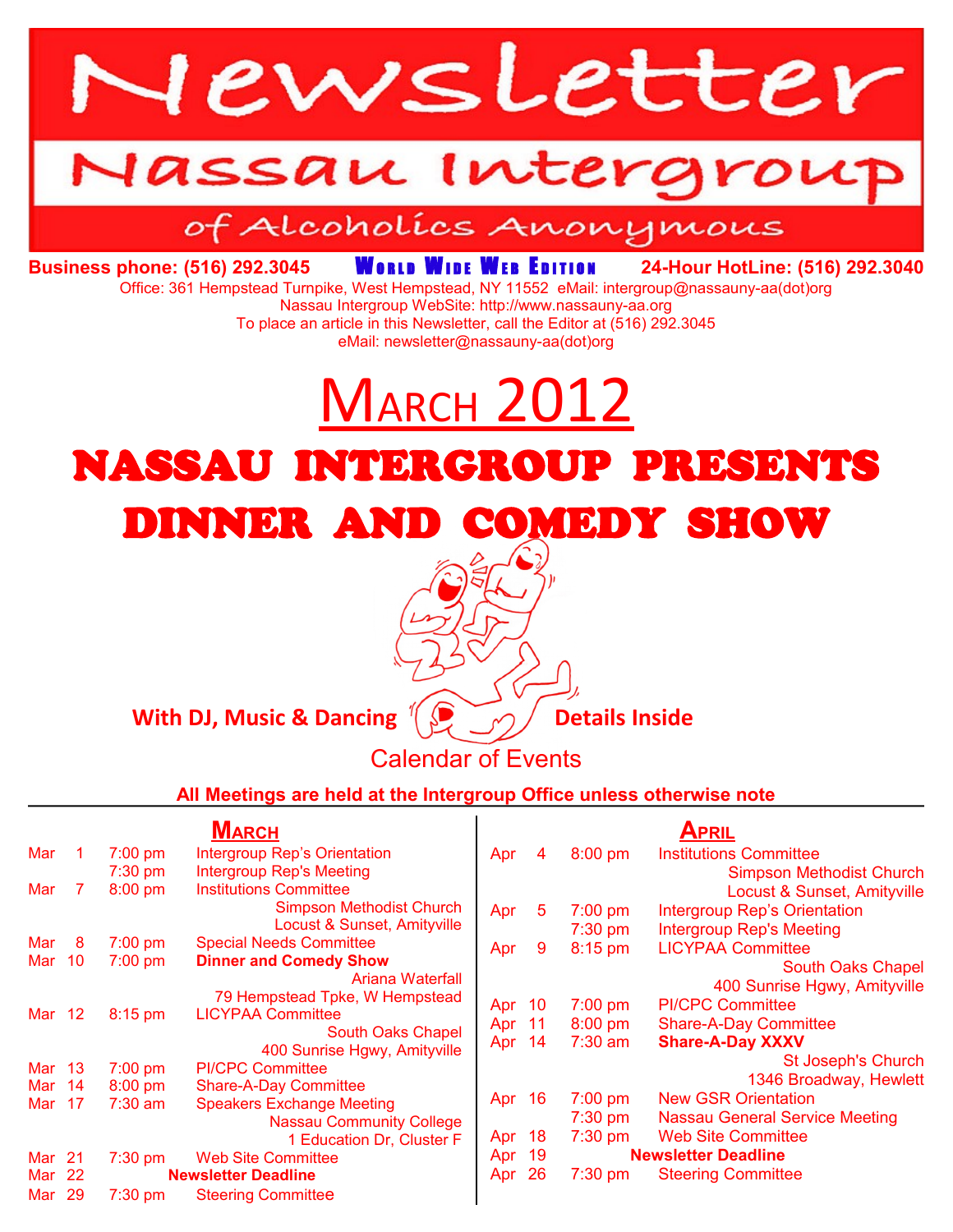

# Iassau Intergroi

# of Alcoholics Anonymous

**Business phone: (516) 292.3045 WORLD WIDE WEB EDITION 24-Hour HotLine: (516) 292.3040** 

Office: 361 Hempstead Turnpike, West Hempstead, NY 11552 eMail: intergroup@nassauny-aa(dot)org

Nassau Intergroup WebSite: http://www.nassauny-aa.org To place an article in this Newsletter, call the Editor at (516) 292.3045 eMail: newsletter@nassauny-aa(dot)org

# MARCH 2012

# NASSAU INTERGROUP PRESENTS DINNER AND COMEDY SHOW

#### **With DJ, Music & Dancing**  $\left(\bigcup_{i=1}^{n} A_i\right)$  **Details Inside**

## Calendar of Events

**All Meetings are held at the Intergroup Office unless otherwise note**

|               |     | <b>MARCH</b>               |                                                         |        | APRIL |           |                                       |
|---------------|-----|----------------------------|---------------------------------------------------------|--------|-------|-----------|---------------------------------------|
| Mar           |     | $7:00$ pm                  | <b>Intergroup Rep's Orientation</b>                     | Apr    | 4     | $8:00$ pm | <b>Institutions Committee</b>         |
|               |     | $7:30$ pm                  | <b>Intergroup Rep's Meeting</b>                         |        |       |           | <b>Simpson Methodist Church</b>       |
| Mar           |     | $8:00$ pm                  | <b>Institutions Committee</b>                           |        |       |           | Locust & Sunset, Amityville           |
|               |     |                            | <b>Simpson Methodist Church</b>                         | Apr    | 5     | $7:00$ pm | <b>Intergroup Rep's Orientation</b>   |
|               |     |                            | Locust & Sunset, Amityville                             |        |       | $7:30$ pm | <b>Intergroup Rep's Meeting</b>       |
| Mar           | 8   | $7:00$ pm                  | <b>Special Needs Committee</b>                          | Apr    | 9     | 8:15 pm   | <b>LICYPAA Committee</b>              |
| Mar           | -10 | $7:00$ pm                  | <b>Dinner and Comedy Show</b>                           |        |       |           | <b>South Oaks Chapel</b>              |
|               |     |                            | Ariana Waterfall                                        |        |       |           | 400 Sunrise Hgwy, Amityville          |
|               |     |                            | 79 Hempstead Tpke, W Hempstead                          | Apr 10 |       | $7:00$ pm | <b>PI/CPC Committee</b>               |
| Mar 12        |     | $8:15$ pm                  | <b>LICYPAA Committee</b>                                | Apr 11 |       | $8:00$ pm | <b>Share-A-Day Committee</b>          |
|               |     |                            | South Oaks Chapel                                       | Apr 14 |       | $7:30$ am | <b>Share-A-Day XXXV</b>               |
| Mar 13        |     |                            | 400 Sunrise Hgwy, Amityville                            |        |       |           | St Joseph's Church                    |
| Mar 14        |     | $7:00$ pm<br>$8:00$ pm     | <b>PI/CPC Committee</b><br><b>Share-A-Day Committee</b> |        |       |           | 1346 Broadway, Hewlett                |
| Mar 17        |     | $7:30$ am                  | <b>Speakers Exchange Meeting</b>                        | Apr 16 |       | $7:00$ pm | <b>New GSR Orientation</b>            |
|               |     |                            | <b>Nassau Community College</b>                         |        |       | $7:30$ pm | <b>Nassau General Service Meeting</b> |
|               |     |                            | 1 Education Dr, Cluster F                               | Apr 18 |       | $7:30$ pm | <b>Web Site Committee</b>             |
| Mar 21        |     | $7:30$ pm                  | <b>Web Site Committee</b>                               | Apr 19 |       |           | <b>Newsletter Deadline</b>            |
| Mar           | -22 | <b>Newsletter Deadline</b> |                                                         | Apr 26 |       | $7:30$ pm | <b>Steering Committee</b>             |
| <b>Mar 29</b> |     | 7:30 pm                    | <b>Steering Committee</b>                               |        |       |           |                                       |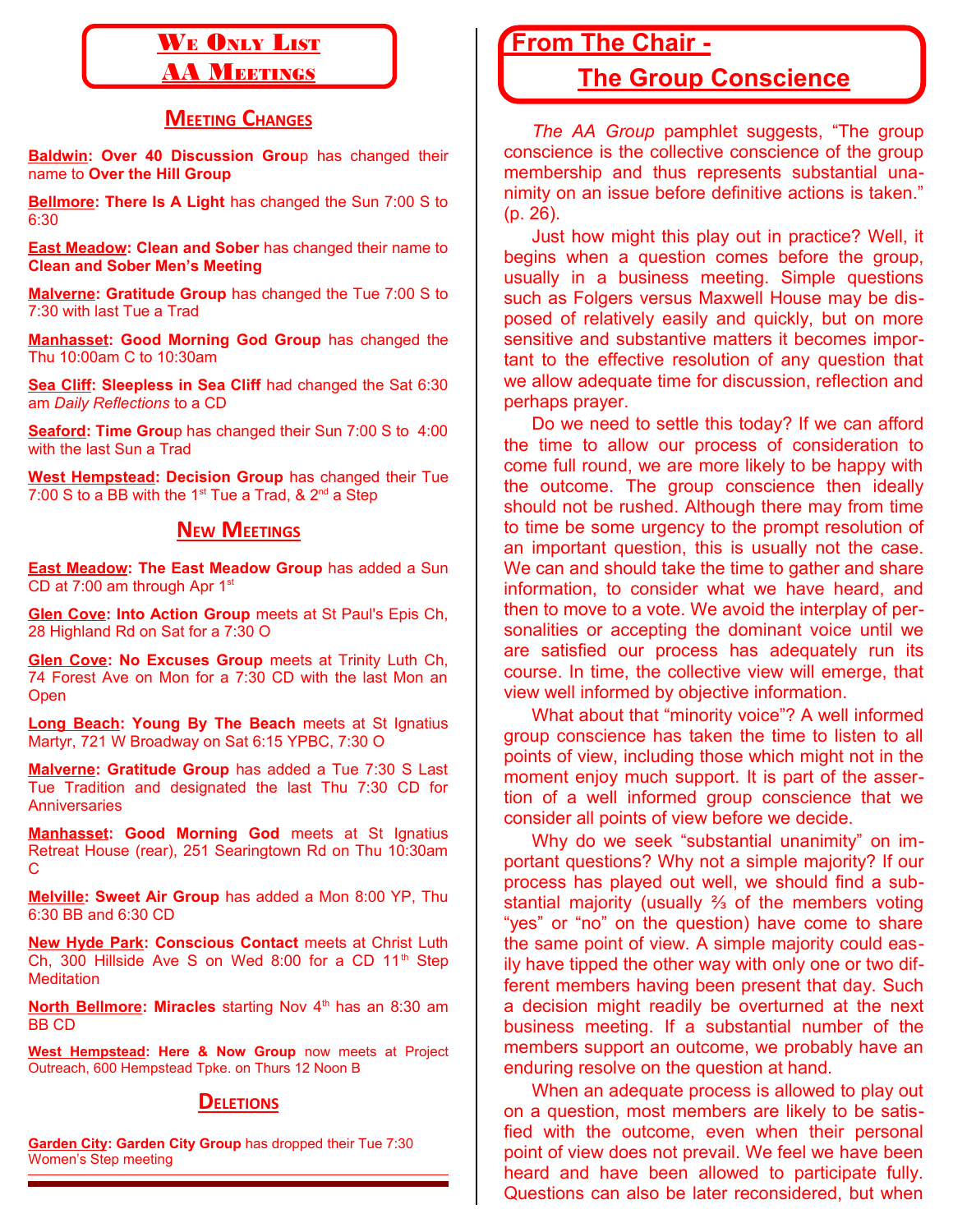# WE ONLY LIST

### **AA MEETINGS**

#### **MEETING CHANGES**

**Baldwin: Over 40 Discussion Grou**p has changed their name to **Over the Hill Group**

**Bellmore: There Is A Light** has changed the Sun 7:00 S to 6:30

**East Meadow: Clean and Sober** has changed their name to **Clean and Sober Men's Meeting**

**Malverne: Gratitude Group** has changed the Tue 7:00 S to 7:30 with last Tue a Trad

**Manhasset: Good Morning God Group** has changed the Thu 10:00am C to 10:30am

**Sea Cliff: Sleepless in Sea Cliff** had changed the Sat 6:30 am *Daily Reflections* to a CD

**Seaford: Time Grou**p has changed their Sun 7:00 S to 4:00 with the last Sun a Trad

**West Hempstead: Decision Group** has changed their Tue 7:00 S to a BB with the 1<sup>st</sup> Tue a Trad,  $\&$  2<sup>nd</sup> a Step

#### **NEW MEETINGS**

**East Meadow: The East Meadow Group** has added a Sun CD at 7:00 am through Apr  $1<sup>st</sup>$ 

**Glen Cove: Into Action Group** meets at St Paul's Epis Ch, 28 Highland Rd on Sat for a 7:30 O

**Glen Cove: No Excuses Group** meets at Trinity Luth Ch, 74 Forest Ave on Mon for a 7:30 CD with the last Mon an **Open** 

**Long Beach: Young By The Beach** meets at St Ignatius Martyr, 721 W Broadway on Sat 6:15 YPBC, 7:30 O

**Malverne: Gratitude Group** has added a Tue 7:30 S Last Tue Tradition and designated the last Thu 7:30 CD for **Anniversaries** 

**Manhasset: Good Morning God** meets at St Ignatius Retreat House (rear), 251 Searingtown Rd on Thu 10:30am C

**Melville: Sweet Air Group** has added a Mon 8:00 YP, Thu 6:30 BB and 6:30 CD

**New Hyde Park: Conscious Contact** meets at Christ Luth Ch, 300 Hillside Ave S on Wed 8:00 for a CD  $11<sup>th</sup>$  Step **Meditation** 

**North Bellmore: Miracles** starting Nov 4<sup>th</sup> has an 8:30 am BB CD

**West Hempstead: Here & Now Group** now meets at Project Outreach, 600 Hempstead Tpke. on Thurs 12 Noon B

#### **DELETIONS**

**Garden City: Garden City Group** has dropped their Tue 7:30 Women's Step meeting

## **From The Chair -**

## **The Group Conscience**

*The AA Group* pamphlet suggests, "The group conscience is the collective conscience of the group membership and thus represents substantial unanimity on an issue before definitive actions is taken." (p. 26).

Just how might this play out in practice? Well, it begins when a question comes before the group, usually in a business meeting. Simple questions such as Folgers versus Maxwell House may be disposed of relatively easily and quickly, but on more sensitive and substantive matters it becomes important to the effective resolution of any question that we allow adequate time for discussion, reflection and perhaps prayer.

Do we need to settle this today? If we can afford the time to allow our process of consideration to come full round, we are more likely to be happy with the outcome. The group conscience then ideally should not be rushed. Although there may from time to time be some urgency to the prompt resolution of an important question, this is usually not the case. We can and should take the time to gather and share information, to consider what we have heard, and then to move to a vote. We avoid the interplay of personalities or accepting the dominant voice until we are satisfied our process has adequately run its course. In time, the collective view will emerge, that view well informed by objective information.

What about that "minority voice"? A well informed group conscience has taken the time to listen to all points of view, including those which might not in the moment enjoy much support. It is part of the assertion of a well informed group conscience that we consider all points of view before we decide.

Why do we seek "substantial unanimity" on important questions? Why not a simple majority? If our process has played out well, we should find a substantial majority (usually ⅔ of the members voting "yes" or "no" on the question) have come to share the same point of view. A simple majority could easily have tipped the other way with only one or two different members having been present that day. Such a decision might readily be overturned at the next business meeting. If a substantial number of the members support an outcome, we probably have an enduring resolve on the question at hand.

When an adequate process is allowed to play out on a question, most members are likely to be satisfied with the outcome, even when their personal point of view does not prevail. We feel we have been heard and have been allowed to participate fully. Questions can also be later reconsidered, but when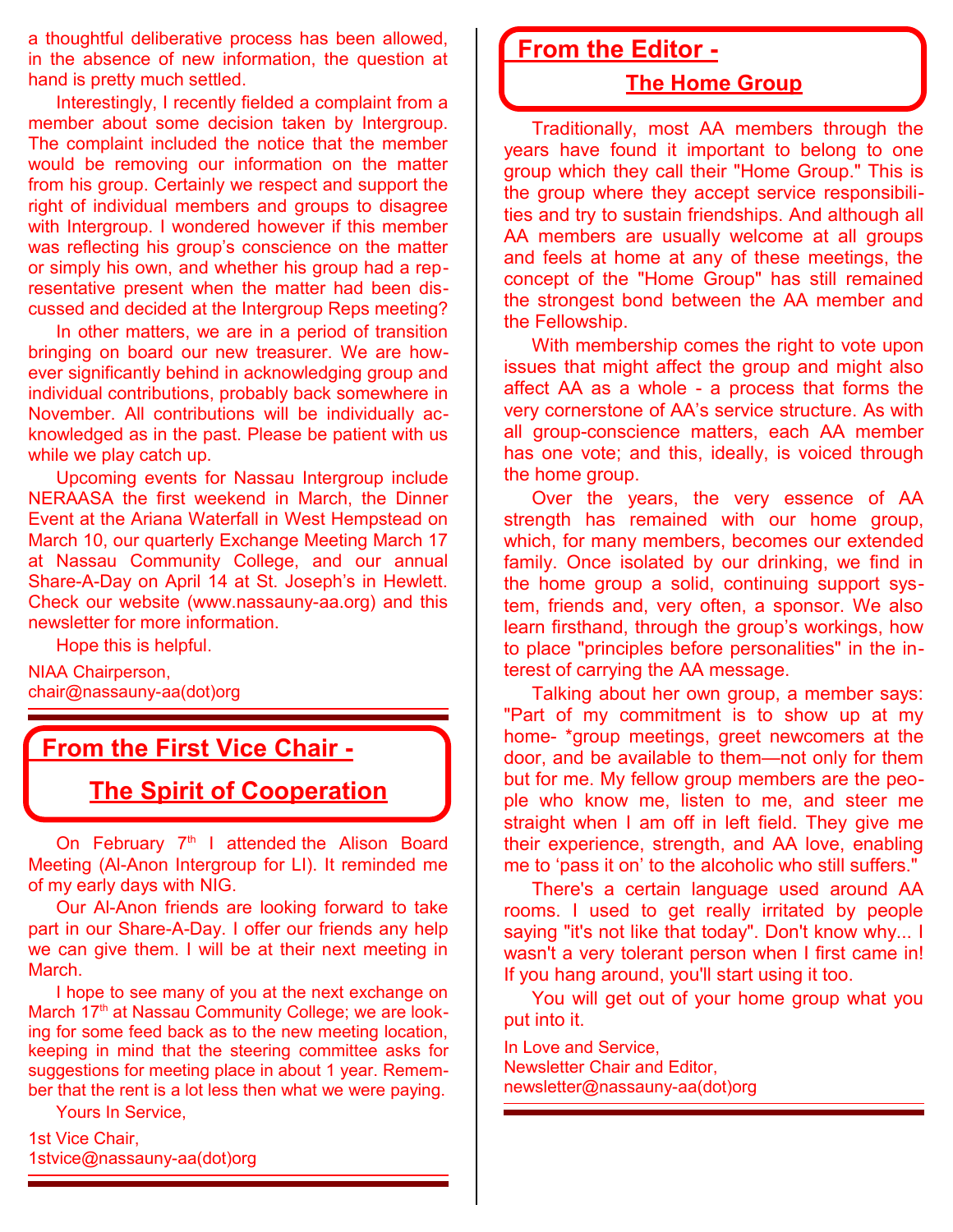a thoughtful deliberative process has been allowed, in the absence of new information, the question at hand is pretty much settled.

Interestingly, I recently fielded a complaint from a member about some decision taken by Intergroup. The complaint included the notice that the member would be removing our information on the matter from his group. Certainly we respect and support the right of individual members and groups to disagree with Intergroup. I wondered however if this member was reflecting his group's conscience on the matter or simply his own, and whether his group had a representative present when the matter had been discussed and decided at the Intergroup Reps meeting?

In other matters, we are in a period of transition bringing on board our new treasurer. We are however significantly behind in acknowledging group and individual contributions, probably back somewhere in November. All contributions will be individually acknowledged as in the past. Please be patient with us while we play catch up.

Upcoming events for Nassau Intergroup include NERAASA the first weekend in March, the Dinner Event at the Ariana Waterfall in West Hempstead on March 10, our quarterly Exchange Meeting March 17 at Nassau Community College, and our annual Share-A-Day on April 14 at St. Joseph's in Hewlett. Check our website (www.nassauny-aa.org) and this newsletter for more information.

Hope this is helpful.

NIAA Chairperson, chair@nassauny-aa(dot)org

## **From the First Vice Chair -**

**The Spirit of Cooperation**

On February  $7<sup>th</sup>$  I attended the Alison Board Meeting (Al-Anon Intergroup for LI). It reminded me of my early days with NIG.

Our Al-Anon friends are looking forward to take part in our Share-A-Day. I offer our friends any help we can give them. I will be at their next meeting in March.

I hope to see many of you at the next exchange on March 17<sup>th</sup> at Nassau Community College; we are looking for some feed back as to the new meeting location, keeping in mind that the steering committee asks for suggestions for meeting place in about 1 year. Remember that the rent is a lot less then what we were paying.

Yours In Service,

1st Vice Chair, 1stvice@nassauny-aa(dot)org

# **From the Editor -**

#### **The Home Group**

Traditionally, most AA members through the years have found it important to belong to one group which they call their "Home Group." This is the group where they accept service responsibilities and try to sustain friendships. And although all AA members are usually welcome at all groups and feels at home at any of these meetings, the concept of the "Home Group" has still remained the strongest bond between the AA member and the Fellowship.

With membership comes the right to vote upon issues that might affect the group and might also affect AA as a whole - a process that forms the very cornerstone of AA's service structure. As with all group-conscience matters, each AA member has one vote; and this, ideally, is voiced through the home group.

Over the years, the very essence of AA strength has remained with our home group, which, for many members, becomes our extended family. Once isolated by our drinking, we find in the home group a solid, continuing support system, friends and, very often, a sponsor. We also learn firsthand, through the group's workings, how to place "principles before personalities" in the interest of carrying the AA message.

Talking about her own group, a member says: "Part of my commitment is to show up at my home- \*group meetings, greet newcomers at the door, and be available to them—not only for them but for me. My fellow group members are the people who know me, listen to me, and steer me straight when I am off in left field. They give me their experience, strength, and AA love, enabling me to 'pass it on' to the alcoholic who still suffers."

There's a certain language used around AA rooms. I used to get really irritated by people saying "it's not like that today". Don't know why... I wasn't a very tolerant person when I first came in! If you hang around, you'll start using it too.

You will get out of your home group what you put into it.

In Love and Service, Newsletter Chair and Editor, newsletter@nassauny-aa(dot)org